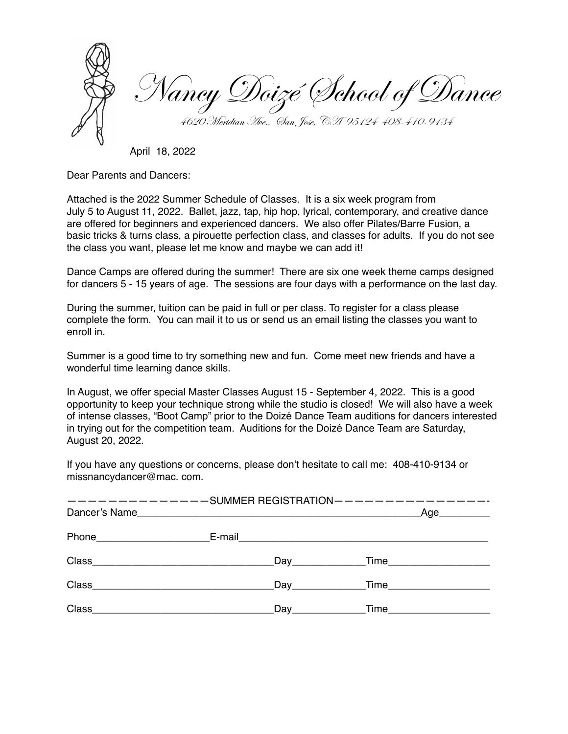Nancy Doizé School of Dance 4620 Meridian Ave., San Jose, CA 95124 408-410-9134

April 18, 2022

Dear Parents and Dancers:

Attached is the 2022 Summer Schedule of Classes. It is a six week program from July 5 to August 11, 2022. Ballet, jazz, tap, hip hop, lyrical, contemporary, and creative dance are offered for beginners and experienced dancers. We also offer Pilates/Barre Fusion, a basic tricks & turns class, a pirouette perfection class, and classes for adults. If you do not see the class you want, please let me know and maybe we can add it!

Dance Camps are offered during the summer! There are six one week theme camps designed for dancers 5 - 15 years of age. The sessions are four days with a performance on the last day.

During the summer, tuition can be paid in full or per class. To register for a class please complete the form. You can mail it to us or send us an email listing the classes you want to enroll in.

Summer is a good time to try something new and fun. Come meet new friends and have a wonderful time learning dance skills.

In August, we offer special Master Classes August 15 - September 4, 2022. This is a good opportunity to keep your technique strong while the studio is closed! We will also have a week of intense classes, "Boot Camp" prior to the Doizé Dance Team auditions for dancers interested in trying out for the competition team. Auditions for the Doizé Dance Team are Saturday, August 20, 2022.

If you have any questions or concerns, please don't hesitate to call me: 408-410-9134 or missnancydancer@mac. com.

| ---------------SUMMER REGISTRATION---------------- | Age      |
|----------------------------------------------------|----------|
|                                                    |          |
|                                                    |          |
|                                                    | Day Time |
|                                                    |          |